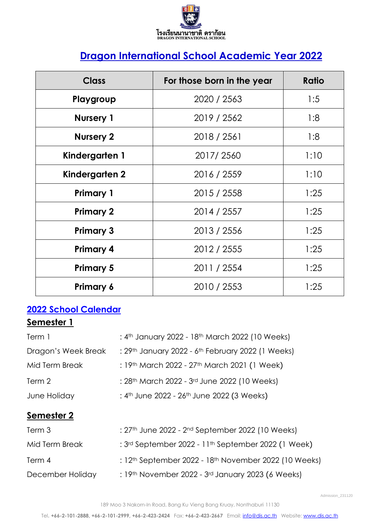

# **Dragon International School Academic Year 2022**

| <b>Class</b>     | For those born in the year |      |  |  |
|------------------|----------------------------|------|--|--|
| Playgroup        | 2020 / 2563                | 1:5  |  |  |
| <b>Nursery 1</b> | 2019 / 2562                | 1:8  |  |  |
| <b>Nursery 2</b> | 2018 / 2561                | 1:8  |  |  |
| Kindergarten 1   | 2017/2560                  | 1:10 |  |  |
| Kindergarten 2   | 2016 / 2559                | 1:10 |  |  |
| <b>Primary 1</b> | 2015 / 2558                | 1:25 |  |  |
| <b>Primary 2</b> | 2014 / 2557                | 1:25 |  |  |
| <b>Primary 3</b> | 2013 / 2556                | 1:25 |  |  |
| <b>Primary 4</b> | 2012 / 2555                | 1:25 |  |  |
| <b>Primary 5</b> | 2011 / 2554                | 1:25 |  |  |
| <b>Primary 6</b> | 2010 / 2553                | 1:25 |  |  |

# **2022 School Calendar**

# **Semester 1**

| : 4th January 2022 - 18th March 2022 (10 Weeks)                      |
|----------------------------------------------------------------------|
| : 29th January 2022 - 6th February 2022 (1 Weeks)                    |
| : 19th March 2022 - 27th March 2021 (1 Week)                         |
| : 28 <sup>th</sup> March 2022 - 3 <sup>rd</sup> June 2022 (10 Weeks) |
| : 4 <sup>th</sup> June 2022 - 26 <sup>th</sup> June 2022 (3 Weeks)   |
|                                                                      |
| : 27th June 2022 - 2nd September 2022 (10 Weeks)                     |
| : 3rd September 2022 - 11th September 2022 (1 Week)                  |
| : $12th$ September 2022 - $18th$ November 2022 (10 Weeks)            |
|                                                                      |

December Holiday : 19<sup>th</sup> November 2022 - 3<sup>rd</sup> January 2023 (6 Weeks)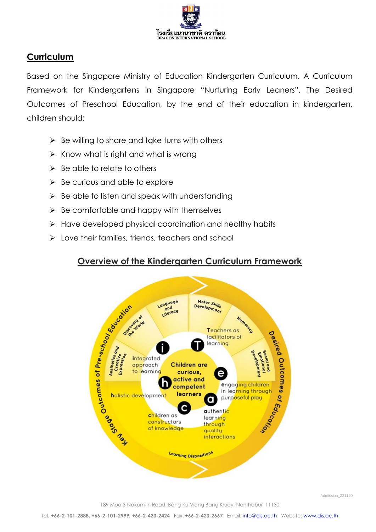

# **Curriculum**

Based on the Singapore Ministry of Education Kindergarten Curriculum. A Curriculum Framework for Kindergartens in Singapore "Nurturing Early Leaners". The Desired Outcomes of Preschool Education, by the end of their education in kindergarten, children should:

- $\triangleright$  Be willing to share and take turns with others
- $\triangleright$  Know what is right and what is wrong
- $\triangleright$  Be able to relate to others
- $\triangleright$  Be curious and able to explore
- $\triangleright$  Be able to listen and speak with understanding
- $\triangleright$  Be comfortable and happy with themselves
- ➢ Have developed physical coordination and healthy habits
- ➢ Love their families, friends, teachers and school

# **Overview of the Kindergarten Curriculum Framework**



Admission\_231120

189 Moo 3 Nakorn-In Road, Bang Ku Vieng Bang Kruay, Nonthaburi 11130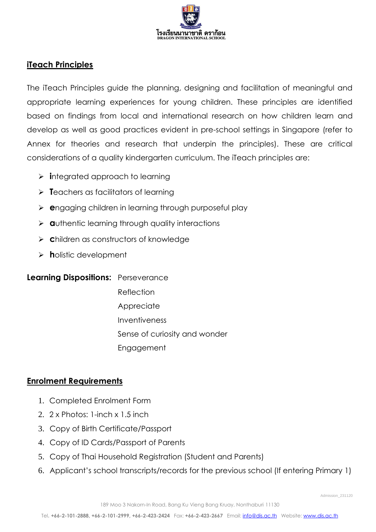

## **iTeach Principles**

The iTeach Principles guide the planning, designing and facilitation of meaningful and appropriate learning experiences for young children. These principles are identified based on findings from local and international research on how children learn and develop as well as good practices evident in pre-school settings in Singapore (refer to Annex for theories and research that underpin the principles). These are critical considerations of a quality kindergarten curriculum. The iTeach principles are:

- ➢ **i**ntegrated approach to learning
- ➢ **T**eachers as facilitators of learning
- ➢ **e**ngaging children in learning through purposeful play
- ➢ **a**uthentic learning through quality interactions
- ➢ **c**hildren as constructors of knowledge
- ➢ **h**olistic development

**Learning Dispositions:** Perseverance

- Reflection
- **Appreciate**
- Inventiveness
- Sense of curiosity and wonder
- Engagement

#### **Enrolment Requirements**

- 1. Completed Enrolment Form
- 2. 2 x Photos: 1-inch x 1.5 inch
- 3. Copy of Birth Certificate/Passport
- 4. Copy of ID Cards/Passport of Parents
- 5. Copy of Thai Household Registration (Student and Parents)
- 6. Applicant's school transcripts/records for the previous school (If entering Primary 1)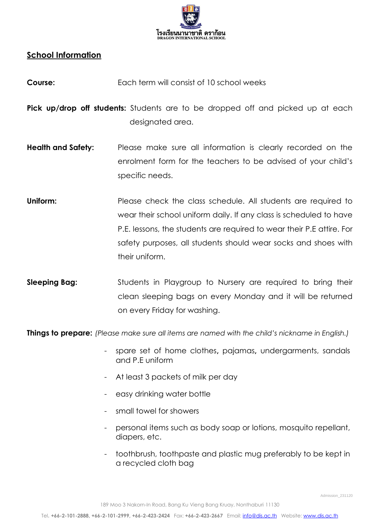

## **School Information**

- **Course:** Each term will consist of 10 school weeks
- **Pick up/drop off students:** Students are to be dropped off and picked up at each designated area.
- **Health and Safety:** Please make sure all information is clearly recorded on the enrolment form for the teachers to be advised of your child's specific needs.
- **Uniform:** Please check the class schedule. All students are required to wear their school uniform daily. If any class is scheduled to have P.E. lessons, the students are required to wear their P.E attire. For safety purposes, all students should wear socks and shoes with their uniform.
- **Sleeping Bag:** Students in Playgroup to Nursery are required to bring their clean sleeping bags on every Monday and it will be returned on every Friday for washing.

**Things to prepare:** *(Please make sure all items are named with the child's nickname in English.)* 

- spare set of home clothes**,** pajamas**,** undergarments, sandals and P.E uniform
- At least 3 packets of milk per day
- easy drinking water bottle
- small towel for showers
- personal items such as body soap or lotions, mosquito repellant, diapers, etc.
- toothbrush, toothpaste and plastic mug preferably to be kept in a recycled cloth bag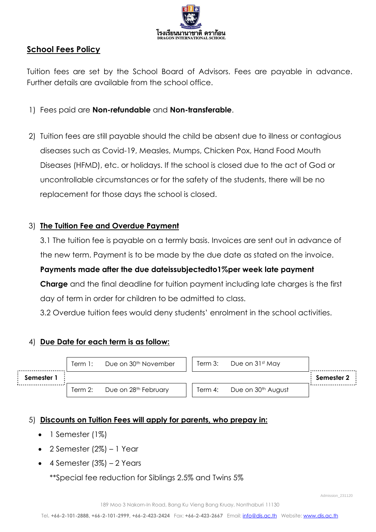

## **School Fees Policy**

Tuition fees are set by the School Board of Advisors. Fees are payable in advance. Further details are available from the school office.

- 1) Fees paid are **Non-refundable** and **Non-transferable**.
- 2) Tuition fees are still payable should the child be absent due to illness or contagious diseases such as Covid-19, Measles, Mumps, Chicken Pox, Hand Food Mouth Diseases (HFMD), etc. or holidays. If the school is closed due to the act of God or uncontrollable circumstances or for the safety of the students, there will be no replacement for those days the school is closed.

#### 3) **The Tuition Fee and Overdue Payment**

3.1 The tuition fee is payable on a termly basis. Invoices are sent out in advance of the new term. Payment is to be made by the due date as stated on the invoice.

**Payments made after the due dateissubjectedto1%per week late payment Charge** and the final deadline for tuition payment including late charges is the first day of term in order for children to be admitted to class.

3.2 Overdue tuition fees would deny students' enrolment in the school activities.

#### 4) **Due Date for each term is as follow:**

|            | Term 1: | Due on 30 <sup>th</sup> November | Term 3: | Due on 31st May                |            |
|------------|---------|----------------------------------|---------|--------------------------------|------------|
| Semester 1 |         |                                  |         |                                | Semester 2 |
|            | Term 2: | Due on 28 <sup>th</sup> February | Term 4: | Due on 30 <sup>th</sup> August |            |

#### 5) **Discounts on Tuition Fees will apply for parents, who prepay in:**

- 1 Semester (1%)
- 2 Semester (2%) 1 Year
- 4 Semester (3%) 2 Years

\*\*Special fee reduction for Siblings 2.5% and Twins 5%